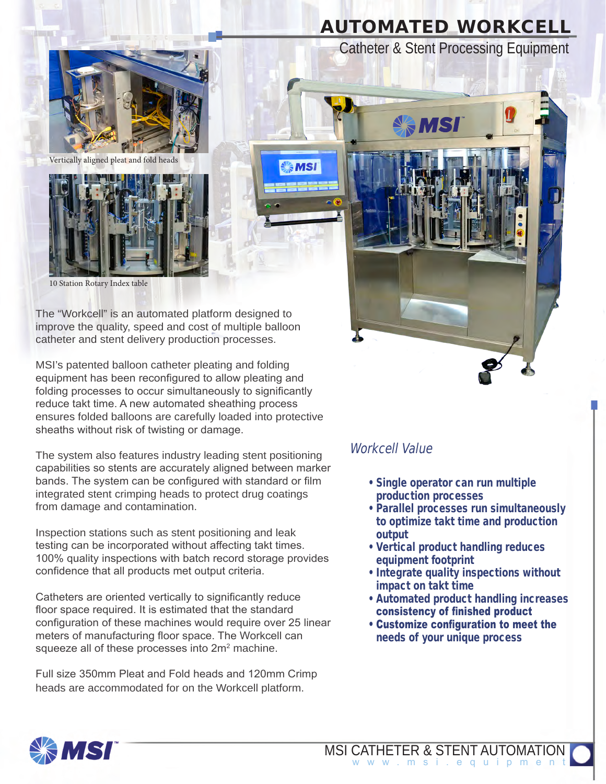# **AUTOMATED WORKCELL**

Catheter & Stent Processing Equipment



Vertically aligned pleat and fold heads



10 Station Rotary Index table

The "Workcell" is an automated platform designed to improve the quality, speed and cost of multiple balloon catheter and stent delivery production processes.

MSI's patented balloon catheter pleating and folding equipment has been reconfigured to allow pleating and folding processes to occur simultaneously to significantly reduce takt time. A new automated sheathing process ensures folded balloons are carefully loaded into protective sheaths without risk of twisting or damage.

The system also features industry leading stent positioning capabilities so stents are accurately aligned between marker bands. The system can be configured with standard or film integrated stent crimping heads to protect drug coatings from damage and contamination.

Inspection stations such as stent positioning and leak testing can be incorporated without affecting takt times. 100% quality inspections with batch record storage provides confidence that all products met output criteria.

Catheters are oriented vertically to significantly reduce floor space required. It is estimated that the standard configuration of these machines would require over 25 linear meters of manufacturing floor space. The Workcell can squeeze all of these processes into  $2m^2$  machine.

Full size 350mm Pleat and Fold heads and 120mm Crimp heads are accommodated for on the Workcell platform.



#### Workcell Value

- Single operator can run multiple production processes
- Parallel processes run simultaneously to optimize takt time and production output
- Vertical product handling reduces equipment footprint
- Integrate quality inspections without impact on takt time
- Automated product handling increases consistency of finished product
- Customize configuration to meet the needs of your unique process